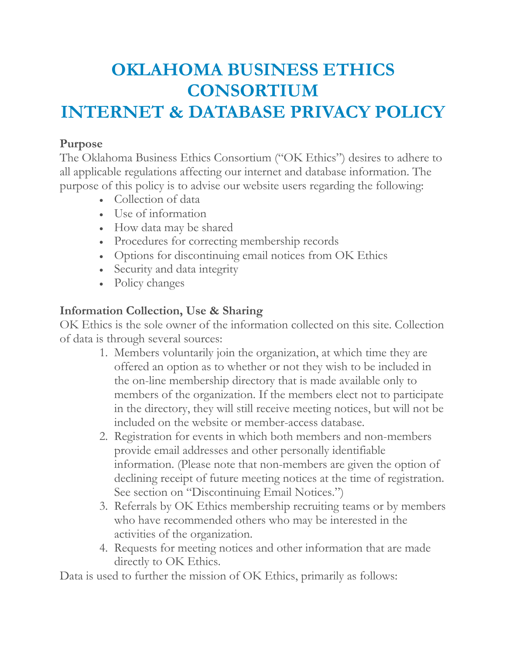# **OKLAHOMA BUSINESS ETHICS CONSORTIUM INTERNET & DATABASE PRIVACY POLICY**

#### **Purpose**

The Oklahoma Business Ethics Consortium ("OK Ethics") desires to adhere to all applicable regulations affecting our internet and database information. The purpose of this policy is to advise our website users regarding the following:

- Collection of data
- Use of information
- How data may be shared
- Procedures for correcting membership records
- Options for discontinuing email notices from OK Ethics
- Security and data integrity
- Policy changes

# **Information Collection, Use & Sharing**

OK Ethics is the sole owner of the information collected on this site. Collection of data is through several sources:

- 1. Members voluntarily join the organization, at which time they are offered an option as to whether or not they wish to be included in the on-line membership directory that is made available only to members of the organization. If the members elect not to participate in the directory, they will still receive meeting notices, but will not be included on the website or member-access database.
- 2. Registration for events in which both members and non-members provide email addresses and other personally identifiable information. (Please note that non-members are given the option of declining receipt of future meeting notices at the time of registration. See section on "Discontinuing Email Notices.")
- 3. Referrals by OK Ethics membership recruiting teams or by members who have recommended others who may be interested in the activities of the organization.
- 4. Requests for meeting notices and other information that are made directly to OK Ethics.

Data is used to further the mission of OK Ethics, primarily as follows: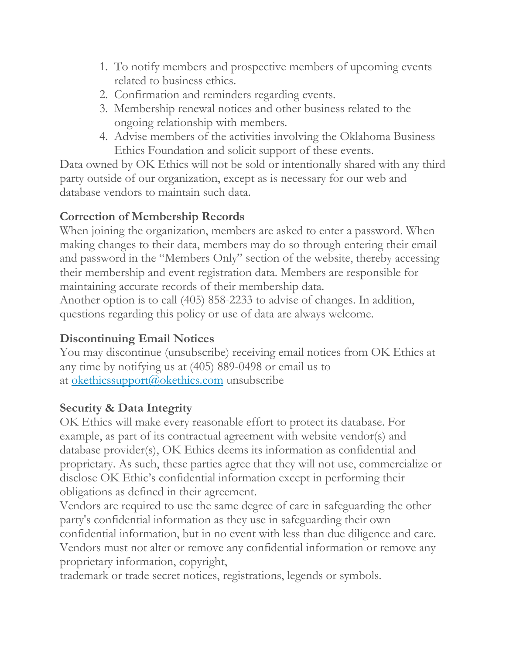- 1. To notify members and prospective members of upcoming events related to business ethics.
- 2. Confirmation and reminders regarding events.
- 3. Membership renewal notices and other business related to the ongoing relationship with members.
- 4. Advise members of the activities involving the Oklahoma Business Ethics Foundation and solicit support of these events.

Data owned by OK Ethics will not be sold or intentionally shared with any third party outside of our organization, except as is necessary for our web and database vendors to maintain such data.

#### **Correction of Membership Records**

When joining the organization, members are asked to enter a password. When making changes to their data, members may do so through entering their email and password in the "Members Only" section of the website, thereby accessing their membership and event registration data. Members are responsible for maintaining accurate records of their membership data.

Another option is to call (405) 858-2233 to advise of changes. In addition, questions regarding this policy or use of data are always welcome.

# **Discontinuing Email Notices**

You may discontinue (unsubscribe) receiving email notices from OK Ethics at any time by notifying us at (405) 889-0498 or email us to at okethicssupport@okethics.com unsubscribe

# **Security & Data Integrity**

OK Ethics will make every reasonable effort to protect its database. For example, as part of its contractual agreement with website vendor(s) and database provider(s), OK Ethics deems its information as confidential and proprietary. As such, these parties agree that they will not use, commercialize or disclose OK Ethic's confidential information except in performing their obligations as defined in their agreement.

Vendors are required to use the same degree of care in safeguarding the other party's confidential information as they use in safeguarding their own confidential information, but in no event with less than due diligence and care. Vendors must not alter or remove any confidential information or remove any proprietary information, copyright,

trademark or trade secret notices, registrations, legends or symbols.